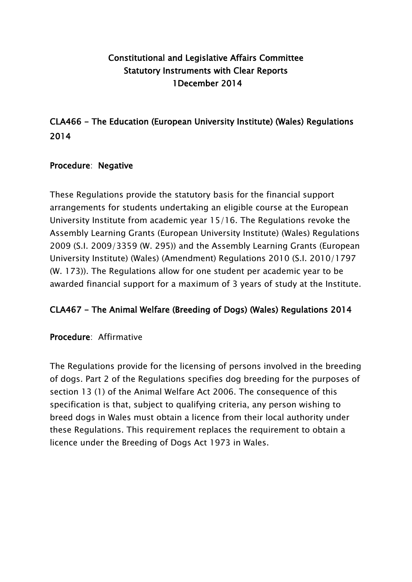# Constitutional and Legislative Affairs Committee Statutory Instruments with Clear Reports 1December 2014

CLA466 - The Education (European University Institute) (Wales) Regulations 2014

### Procedure: Negative

These Regulations provide the statutory basis for the financial support arrangements for students undertaking an eligible course at the European University Institute from academic year 15/16. The Regulations revoke the Assembly Learning Grants (European University Institute) (Wales) Regulations 2009 (S.I. 2009/3359 (W. 295)) and the Assembly Learning Grants (European University Institute) (Wales) (Amendment) Regulations 2010 (S.I. 2010/1797 (W. 173)). The Regulations allow for one student per academic year to be awarded financial support for a maximum of 3 years of study at the Institute.

## CLA467 - The Animal Welfare (Breeding of Dogs) (Wales) Regulations 2014

Procedure: Affirmative

The Regulations provide for the licensing of persons involved in the breeding of dogs. Part 2 of the Regulations specifies dog breeding for the purposes of section 13 (1) of the Animal Welfare Act 2006. The consequence of this specification is that, subject to qualifying criteria, any person wishing to breed dogs in Wales must obtain a licence from their local authority under these Regulations. This requirement replaces the requirement to obtain a licence under the Breeding of Dogs Act 1973 in Wales.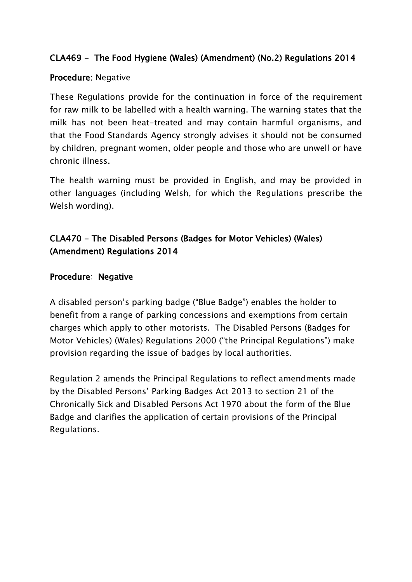## CLA469 - The Food Hygiene (Wales) (Amendment) (No.2) Regulations 2014

#### Procedure: Negative

These Regulations provide for the continuation in force of the requirement for raw milk to be labelled with a health warning. The warning states that the milk has not been heat-treated and may contain harmful organisms, and that the Food Standards Agency strongly advises it should not be consumed by children, pregnant women, older people and those who are unwell or have chronic illness.

The health warning must be provided in English, and may be provided in other languages (including Welsh, for which the Regulations prescribe the Welsh wording).

# CLA470 - The Disabled Persons (Badges for Motor Vehicles) (Wales) (Amendment) Regulations 2014

#### Procedure: Negative

A disabled person's parking badge ("Blue Badge") enables the holder to benefit from a range of parking concessions and exemptions from certain charges which apply to other motorists. The Disabled Persons (Badges for Motor Vehicles) (Wales) Regulations 2000 ("the Principal Regulations") make provision regarding the issue of badges by local authorities.

Regulation 2 amends the Principal Regulations to reflect amendments made by the Disabled Persons' Parking Badges Act 2013 to section 21 of the Chronically Sick and Disabled Persons Act 1970 about the form of the Blue Badge and clarifies the application of certain provisions of the Principal Regulations.